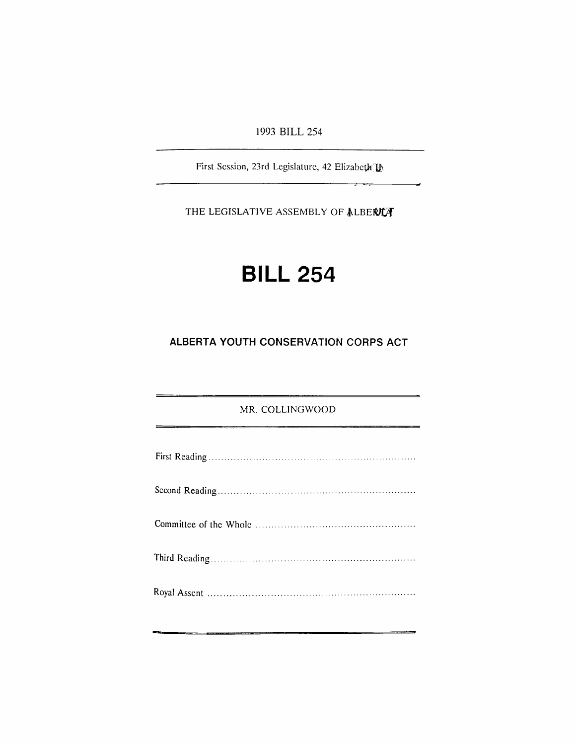1993 BILL 254

First Session, 23rd Legislature, 42 Elizabeth II

THE LEGISLATIVE ASSEMBLY OF ALBERITY

# **BILL 254**

## **ALBERTA YOUTH CONSERVATION CORPS ACT**

### MR. COLLINGWOOD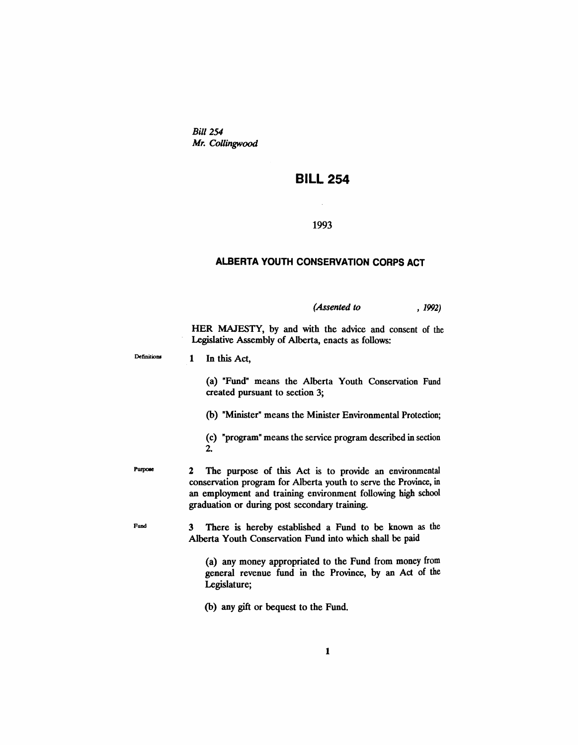*Bill* 254 *Mr. Collingwood*

## **BILL 254**

#### 1993

#### **ALBERTA YOUTH CONSERVATION CORPS ACT**

*(Assented to* , 1992)

HER MAJESTY, by and with the advice and consent of the Legislative Assembly of Alberta, enacts as follows:

| Definitions |  | In this Act, |
|-------------|--|--------------|
|             |  |              |

Purpose

Fund

(a) "Fund" means the Alberta Youth Conservation Fund created pursuant to section 3;

(b) "Minister" means the Minister Environmental Protection;

(c) "program" means the service program described in section 2.

2 The purpose of this Act is to provide an environmental conservation program for Alberta youth to serve the Province, in an employment and training environment following high school graduation or during post secondary training.

3 There is hereby established a Fund to be known as the Alberta Youth Conservation Fund into which shall be paid

> (a) any money appropriated to the Fund from money from general revenue fund in the Province, by an Act of the Legislature;

(b) any gift or bequest to the Fund.